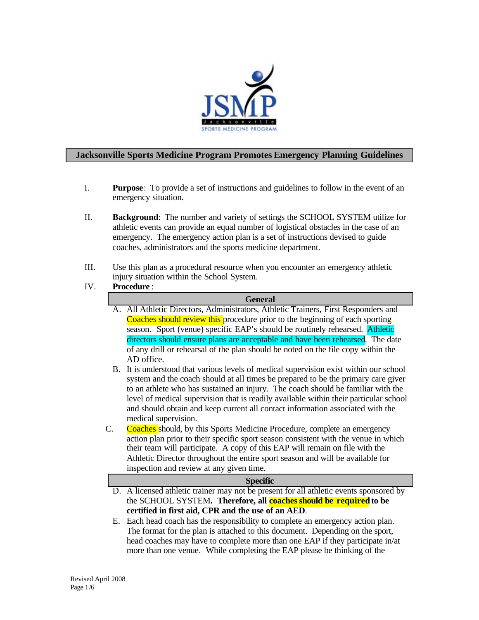

### **Jacksonville Sports Medicine Program Promotes Emergency Planning Guidelines**

- I. **Purpose**: To provide a set of instructions and guidelines to follow in the event of an emergency situation.
- II. **Background**: The number and variety of settings the SCHOOL SYSTEM utilize for athletic events can provide an equal number of logistical obstacles in the case of an emergency. The emergency action plan is a set of instructions devised to guide coaches, administrators and the sports medicine department.
- III. Use this plan as a procedural resource when you encounter an emergency athletic injury situation within the School System.
- IV. **Procedure** :

| <b>General</b> |                                                                                                        |  |  |  |
|----------------|--------------------------------------------------------------------------------------------------------|--|--|--|
|                | A. All Athletic Directors, Administrators, Athletic Trainers, First Responders and                     |  |  |  |
|                | Coaches should review this procedure prior to the beginning of each sporting                           |  |  |  |
|                | season. Sport (venue) specific EAP's should be routinely rehearsed. Athletic                           |  |  |  |
|                | directors should ensure plans are acceptable and have been rehearsed. The date                         |  |  |  |
|                | of any drill or rehearsal of the plan should be noted on the file copy within the                      |  |  |  |
|                | AD office.                                                                                             |  |  |  |
|                | B. It is understood that various levels of medical supervision exist within our school                 |  |  |  |
|                | system and the coach should at all times be prepared to be the primary care giver                      |  |  |  |
|                | to an athlete who has sustained an injury. The coach should be familiar with the                       |  |  |  |
|                | level of medical supervision that is readily available within their particular school                  |  |  |  |
|                | and should obtain and keep current all contact information associated with the<br>medical supervision. |  |  |  |
| C.             | <b>Coaches</b> should, by this Sports Medicine Procedure, complete an emergency                        |  |  |  |
|                | action plan prior to their specific sport season consistent with the venue in which                    |  |  |  |
|                | their team will participate. A copy of this EAP will remain on file with the                           |  |  |  |
|                | Athletic Director throughout the entire sport season and will be available for                         |  |  |  |
|                | inspection and review at any given time.                                                               |  |  |  |
|                | <b>Specific</b>                                                                                        |  |  |  |
|                | D. A licensed athletic trainer may not be present for all athletic events sponsored by                 |  |  |  |
|                | the SCHOOL SYSTEM. Therefore, all coaches should be required to be                                     |  |  |  |
|                | certified in first aid, CPR and the use of an AED.                                                     |  |  |  |
|                | E. Each head coach has the responsibility to complete an emergency action plan.                        |  |  |  |
|                | The format for the plan is attached to this document. Depending on the sport,                          |  |  |  |
|                | head coaches may have to complete more than one EAP if they participate in/at                          |  |  |  |
|                | more than one venue. While completing the EAP please be thinking of the                                |  |  |  |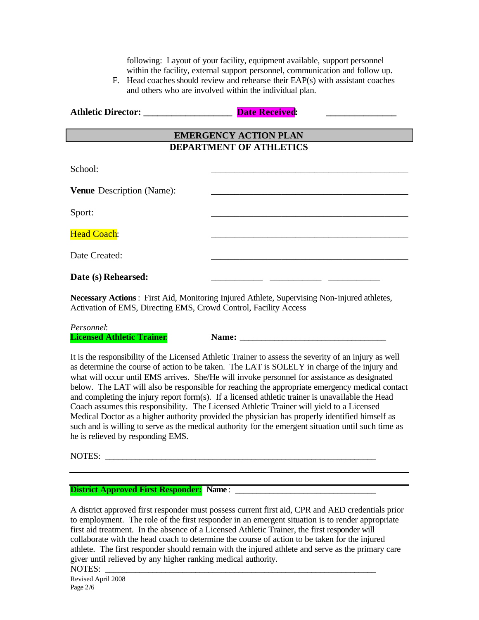following: Layout of your facility, equipment available, support personnel within the facility, external support personnel, communication and follow up.

F. Head coaches should review and rehearse their EAP(s) with assistant coaches and others who are involved within the individual plan.

| <b>Athletic Director:</b> | <b>Date Received:</b> |  |
|---------------------------|-----------------------|--|
|                           |                       |  |

# **EMERGENCY ACTION PLAN DEPARTMENT OF ATHLETICS**

 $School:$ 

**Venue** Description (Name):

 $S$ port:

Head Coach:

Date Created:

# Date (s) Rehearsed:

**Necessary Actions**: First Aid, Monitoring Injured Athlete, Supervising Non-injured athletes, Activation of EMS, Directing EMS, Crowd Control, Facility Access

*Personnel*:

**Licensed Athletic Trainer: Name: Name:**  $\blacksquare$ 

It is the responsibility of the Licensed Athletic Trainer to assess the severity of an injury as well as determine the course of action to be taken. The LAT is SOLELY in charge of the injury and what will occur until EMS arrives. She/He will invoke personnel for assistance as designated below. The LAT will also be responsible for reaching the appropriate emergency medical contact and completing the injury report form(s). If a licensed athletic trainer is unavailable the Head Coach assumes this responsibility. The Licensed Athletic Trainer will yield to a Licensed Medical Doctor as a higher authority provided the physician has properly identified himself as such and is willing to serve as the medical authority for the emergent situation until such time as he is relieved by responding EMS.

NOTES: \_\_\_\_\_\_\_\_\_\_\_\_\_\_\_\_\_\_\_\_\_\_\_\_\_\_\_\_\_\_\_\_\_\_\_\_\_\_\_\_\_\_\_\_\_\_\_\_\_\_\_\_\_\_\_\_\_\_\_\_\_\_\_

**District Approved First Responder:** Name :

A district approved first responder must possess current first aid, CPR and AED credentials prior to employment. The role of the first responder in an emergent situation is to render appropriate first aid treatment. In the absence of a Licensed Athletic Trainer, the first responder will collaborate with the head coach to determine the course of action to be taken for the injured athlete. The first responder should remain with the injured athlete and serve as the primary care giver until relieved by any higher ranking medical authority.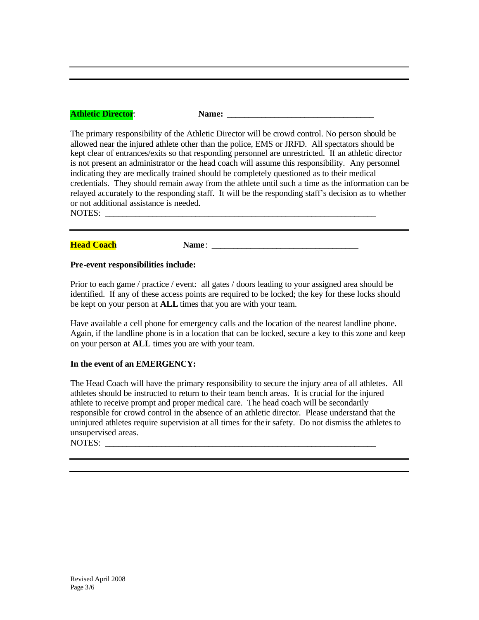### **Athletic Director:**  $\blacksquare$  **<b>Name:**  $\blacksquare$

The primary responsibility of the Athletic Director will be crowd control. No person should be allowed near the injured athlete other than the police, EMS or JRFD. All spectators should be kept clear of entrances/exits so that responding personnel are unrestricted. If an athletic director is not present an administrator or the head coach will assume this responsibility. Any personnel indicating they are medically trained should be completely questioned as to their medical credentials. They should remain away from the athlete until such a time as the information can be relayed accurately to the responding staff. It will be the responding staff's decision as to whether or not additional assistance is needed. NOTES: \_\_\_\_\_\_\_\_\_\_\_\_\_\_\_\_\_\_\_\_\_\_\_\_\_\_\_\_\_\_\_\_\_\_\_\_\_\_\_\_\_\_\_\_\_\_\_\_\_\_\_\_\_\_\_\_\_\_\_\_\_\_\_

#### **Head Coach Name**:

#### **Pre-event responsibilities include:**

Prior to each game / practice / event: all gates / doors leading to your assigned area should be identified. If any of these access points are required to be locked; the key for these locks should be kept on your person at **ALL** times that you are with your team.

Have available a cell phone for emergency calls and the location of the nearest landline phone. Again, if the landline phone is in a location that can be locked, secure a key to this zone and keep on your person at **ALL** times you are with your team.

#### **In the event of an EMERGENCY:**

The Head Coach will have the primary responsibility to secure the injury area of all athletes. All athletes should be instructed to return to their team bench areas. It is crucial for the injured athlete to receive prompt and proper medical care. The head coach will be secondarily responsible for crowd control in the absence of an athletic director. Please understand that the uninjured athletes require supervision at all times for their safety. Do not dismiss the athletes to unsupervised areas.

NOTES: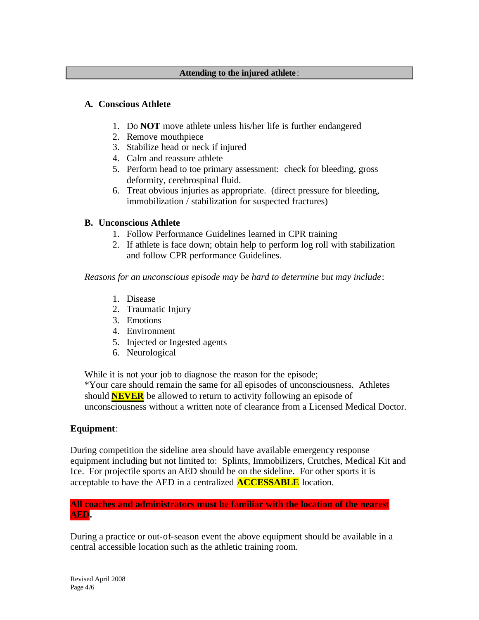### **Attending to the injured athlete** :

## **A. Conscious Athlete**

- 1. Do **NOT** move athlete unless his/her life is further endangered
- 2. Remove mouthpiece
- 3. Stabilize head or neck if injured
- 4. Calm and reassure athlete
- 5. Perform head to toe primary assessment: check for bleeding, gross deformity, cerebrospinal fluid.
- 6. Treat obvious injuries as appropriate. (direct pressure for bleeding, immobilization / stabilization for suspected fractures)

## **B. Unconscious Athlete**

- 1. Follow Performance Guidelines learned in CPR training
- 2. If athlete is face down; obtain help to perform log roll with stabilization and follow CPR performance Guidelines.

*Reasons for an unconscious episode may be hard to determine but may include*:

- 1. Disease
- 2. Traumatic Injury
- 3. Emotions
- 4. Environment
- 5. Injected or Ingested agents
- 6. Neurological

While it is not your job to diagnose the reason for the episode;

\*Your care should remain the same for all episodes of unconsciousness. Athletes should **NEVER** be allowed to return to activity following an episode of unconsciousness without a written note of clearance from a Licensed Medical Doctor.

## **Equipment**:

During competition the sideline area should have available emergency response equipment including but not limited to: Splints, Immobilizers, Crutches, Medical Kit and Ice. For projectile sports an AED should be on the sideline. For other sports it is acceptable to have the AED in a centralized **ACCESSABLE** location.

## **All coaches and administrators must be familiar with the location of the nearest AED.**

During a practice or out-of-season event the above equipment should be available in a central accessible location such as the athletic training room.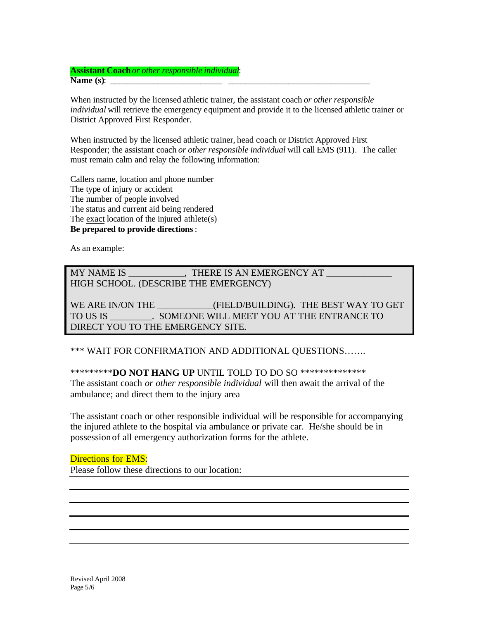**Assistant Coach***or other responsible individual*: **Name (s)**: \_\_\_\_\_\_\_\_\_\_\_\_\_\_\_\_\_\_\_\_\_\_\_\_\_\_ \_\_\_\_\_\_\_\_\_\_\_\_\_\_\_\_\_\_\_\_\_\_\_\_\_\_\_\_\_\_\_\_\_

When instructed by the licensed athletic trainer, the assistant coach *or other responsible individual* will retrieve the emergency equipment and provide it to the licensed athletic trainer or District Approved First Responder.

When instructed by the licensed athletic trainer, head coach or District Approved First Responder; the assistant coach *or other responsible individual* will call EMS (911). The caller must remain calm and relay the following information:

Callers name, location and phone number The type of injury or accident The number of people involved The status and current aid being rendered The exact location of the injured athlete(s) **Be prepared to provide directions**:

As an example:

MY NAME IS \_\_\_\_\_\_\_\_\_\_\_\_\_, THERE IS AN EMERGENCY AT HIGH SCHOOL. (DESCRIBE THE EMERGENCY)

WE ARE IN/ON THE **EXECUTE:** (FIELD/BUILDING). THE BEST WAY TO GET TO US IS \_\_\_\_\_\_\_\_\_. SOMEONE WILL MEET YOU AT THE ENTRANCE TO DIRECT YOU TO THE EMERGENCY SITE.

\*\*\* WAIT FOR CONFIRMATION AND ADDITIONAL QUESTIONS…….

\*\*\*\*\*\*\*\*\***DO NOT HANG UP** UNTIL TOLD TO DO SO \*\*\*\*\*\*\*\*\*\*\*\*\*\*

The assistant coach *or other responsible individual* will then await the arrival of the ambulance; and direct them to the injury area

The assistant coach or other responsible individual will be responsible for accompanying the injured athlete to the hospital via ambulance or private car. He/she should be in possession of all emergency authorization forms for the athlete.

Directions for EMS: Please follow these directions to our location: